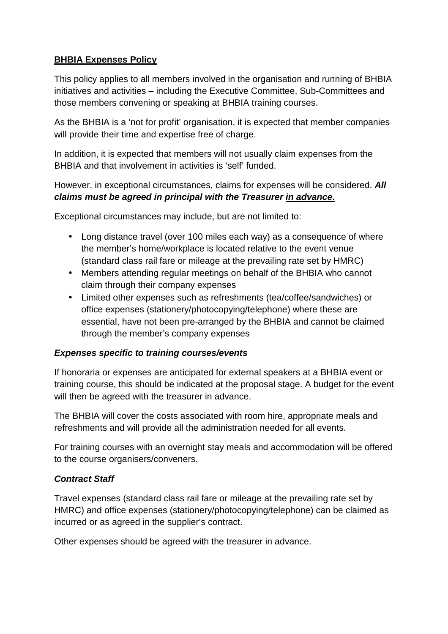## **BHBIA Expenses Policy**

This policy applies to all members involved in the organisation and running of BHBIA initiatives and activities – including the Executive Committee, Sub-Committees and those members convening or speaking at BHBIA training courses.

As the BHBIA is a 'not for profit' organisation, it is expected that member companies will provide their time and expertise free of charge.

In addition, it is expected that members will not usually claim expenses from the BHBIA and that involvement in activities is 'self' funded.

However, in exceptional circumstances, claims for expenses will be considered. **All claims must be agreed in principal with the Treasurer in advance.** 

Exceptional circumstances may include, but are not limited to:

- Long distance travel (over 100 miles each way) as a consequence of where the member's home/workplace is located relative to the event venue (standard class rail fare or mileage at the prevailing rate set by HMRC)
- Members attending regular meetings on behalf of the BHBIA who cannot claim through their company expenses
- Limited other expenses such as refreshments (tea/coffee/sandwiches) or office expenses (stationery/photocopying/telephone) where these are essential, have not been pre-arranged by the BHBIA and cannot be claimed through the member's company expenses

### **Expenses specific to training courses/events**

If honoraria or expenses are anticipated for external speakers at a BHBIA event or training course, this should be indicated at the proposal stage. A budget for the event will then be agreed with the treasurer in advance.

The BHBIA will cover the costs associated with room hire, appropriate meals and refreshments and will provide all the administration needed for all events.

For training courses with an overnight stay meals and accommodation will be offered to the course organisers/conveners.

### **Contract Staff**

Travel expenses (standard class rail fare or mileage at the prevailing rate set by HMRC) and office expenses (stationery/photocopying/telephone) can be claimed as incurred or as agreed in the supplier's contract.

Other expenses should be agreed with the treasurer in advance.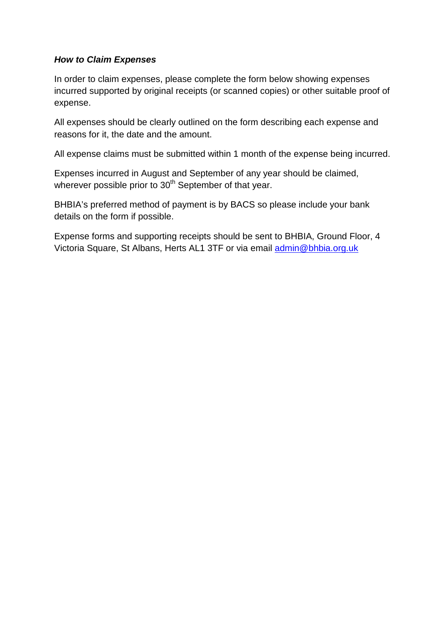### **How to Claim Expenses**

In order to claim expenses, please complete the form below showing expenses incurred supported by original receipts (or scanned copies) or other suitable proof of expense.

All expenses should be clearly outlined on the form describing each expense and reasons for it, the date and the amount.

All expense claims must be submitted within 1 month of the expense being incurred.

Expenses incurred in August and September of any year should be claimed, wherever possible prior to  $30<sup>th</sup>$  September of that year.

BHBIA's preferred method of payment is by BACS so please include your bank details on the form if possible.

Expense forms and supporting receipts should be sent to BHBIA, Ground Floor, 4 Victoria Square, St Albans, Herts AL1 3TF or via email admin@bhbia.org.uk